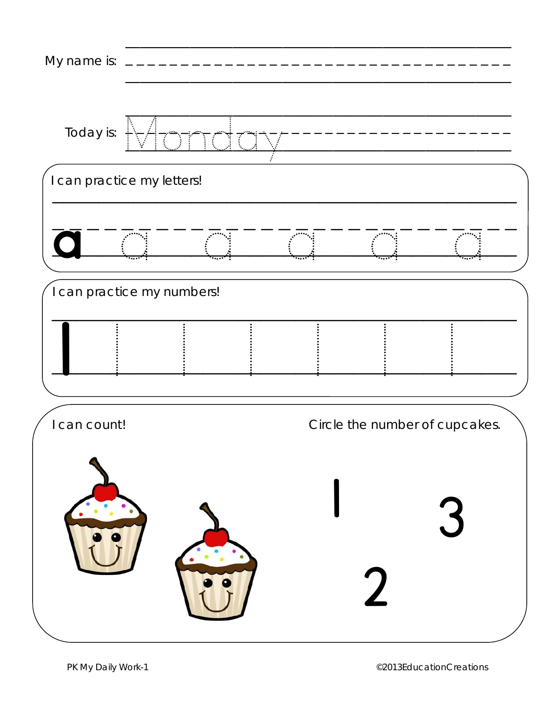| My name is:  |                            |                                        |                                |  |
|--------------|----------------------------|----------------------------------------|--------------------------------|--|
| Today is:    | $\nabla\overline{A}$       | Ħ.<br>7<br>$\mathcal{L}_{\mathcal{A}}$ |                                |  |
|              | I can practice my letters! |                                        |                                |  |
|              |                            |                                        |                                |  |
|              | I can practice my numbers! |                                        |                                |  |
|              |                            |                                        |                                |  |
| I can count! |                            |                                        | Circle the number of cupcakes. |  |
|              |                            |                                        |                                |  |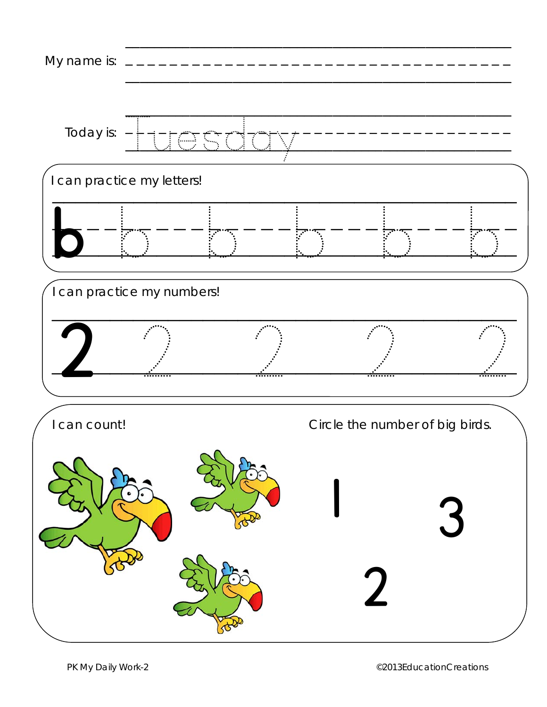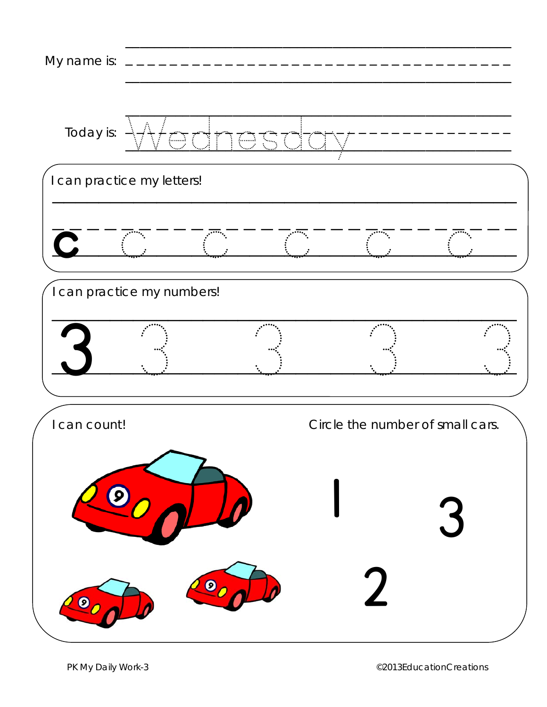| My name is:    |                            |           |                                  |   |
|----------------|----------------------------|-----------|----------------------------------|---|
| Today is:      | Atac                       | 5 P<br>∫⊕ |                                  |   |
|                | I can practice my letters! |           |                                  |   |
| $\overline{C}$ |                            |           |                                  |   |
|                | I can practice my numbers! |           |                                  |   |
|                |                            |           |                                  |   |
| can count!     |                            |           | Circle the number of small cars. |   |
|                | $\boldsymbol{9}$           |           |                                  | 3 |
| ◙              |                            | $\bullet$ |                                  |   |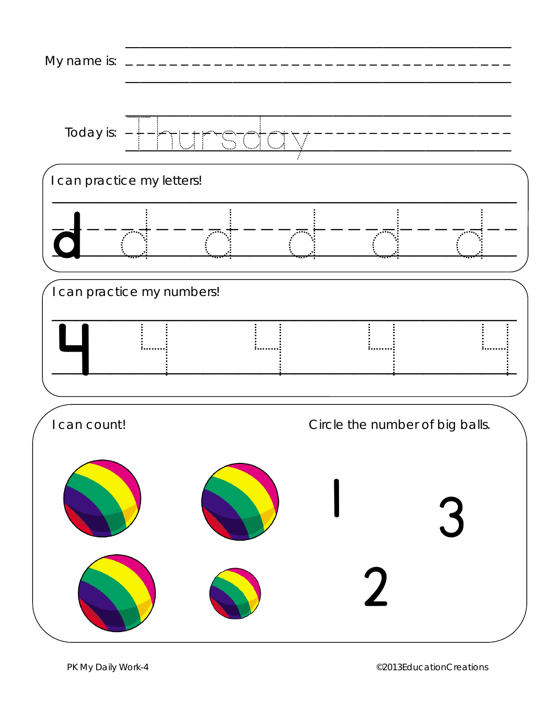